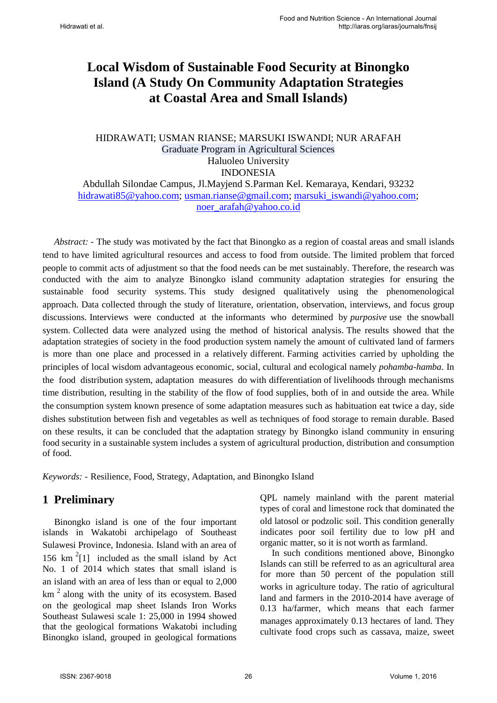# **Local Wisdom of Sustainable Food Security at Binongko Island (A Study On Community Adaptation Strategies at Coastal Area and Small Islands)**

#### HIDRAWATI; USMAN RIANSE; MARSUKI ISWANDI; NUR ARAFAH Graduate Program in Agricultural Sciences Haluoleo University INDONESIA

Abdullah Silondae Campus, Jl.Mayjend S.Parman Kel. Kemaraya, Kendari, 93232 [hidrawati85@yahoo.com;](mailto:hidrawati85@yahoo.com) [usman.rianse@gmail.com;](mailto:usman.rianse@gmail.com) [marsuki\\_iswandi@yahoo.com;](mailto:marsuki_iswandi@yahoo.com) noer\_arafah@yahoo.co.id

*Abstract: -* The study was motivated by the fact that Binongko as a region of coastal areas and small islands tend to have limited agricultural resources and access to food from outside. The limited problem that forced people to commit acts of adjustment so that the food needs can be met sustainably. Therefore, the research was conducted with the aim to analyze Binongko island community adaptation strategies for ensuring the sustainable food security systems. This study designed qualitatively using the phenomenological approach. Data collected through the study of literature, orientation, observation, interviews, and focus group discussions. Interviews were conducted at the informants who determined by *purposive* use the snowball system. Collected data were analyzed using the method of historical analysis. The results showed that the adaptation strategies of society in the food production system namely the amount of cultivated land of farmers is more than one place and processed in a relatively different. Farming activities carried by upholding the principles of local wisdom advantageous economic, social, cultural and ecological namely *pohamba-hamba*. In the food distribution system, adaptation measures do with differentiation of livelihoods through mechanisms time distribution, resulting in the stability of the flow of food supplies, both of in and outside the area. While the consumption system known presence of some adaptation measures such as habituation eat twice a day, side dishes substitution between fish and vegetables as well as techniques of food storage to remain durable. Based on these results, it can be concluded that the adaptation strategy by Binongko island community in ensuring food security in a sustainable system includes a system of agricultural production, distribution and consumption of food.

*Keywords: -* Resilience, Food, Strategy, Adaptation, and Binongko Island

## **1 Preliminary**

<span id="page-0-0"></span>Binongko island is one of the four important islands in Wakatobi archipelago of Southeast Sulawesi Province, Indonesia. Island with an area of 156  $km<sup>2</sup>[1]$  included as the small island by Act No. 1 of 2014 which states that small island is an island with an area of less than or equal to 2,000  $km<sup>2</sup>$  along with the unity of its ecosystem. Based on the geological map sheet Islands Iron Works Southeast Sulawesi scale 1: 25,000 in 1994 showed that the geological formations Wakatobi including Binongko island, grouped in geological formations

QPL namely mainland with the parent material types of coral and limestone rock that dominated the old latosol or podzolic soil. This condition generally indicates poor soil fertility due to low pH and organic matter, so it is not worth as farmland.

In such conditions mentioned above, Binongko Islands can still be referred to as an agricultural area for more than 50 percent of the population still works in agriculture today. The ratio of agricultural land and farmers in the 2010-2014 have average of 0.13 ha/farmer, which means that each farmer manages approximately 0.13 hectares of land. They cultivate food crops such as cassava, maize, sweet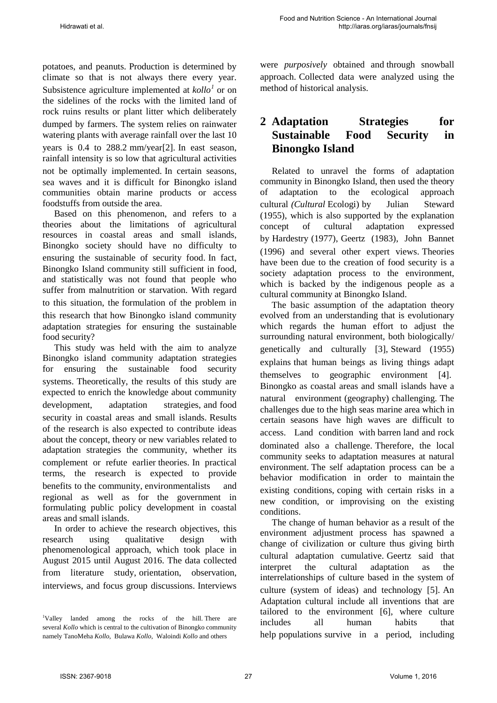potatoes, and peanuts. Production is determined by climate so that is not always there every year. Subsistence agriculture implemented at *kollo[1](#page-0-0)* or on the sidelines of the rocks with the limited land of rock ruins results or plant litter which deliberately dumped by farmers. The system relies on rainwater watering plants with average rainfall over the last 10 years is 0.4 to 288.2 mm/year[2]. In east season, rainfall intensity is so low that agricultural activities not be optimally implemented. In certain seasons, sea waves and it is difficult for Binongko island communities obtain marine products or access foodstuffs from outside the area.

Based on this phenomenon, and refers to a theories about the limitations of agricultural resources in coastal areas and small islands, Binongko society should have no difficulty to ensuring the sustainable of security food. In fact, Binongko Island community still sufficient in food, and statistically was not found that people who suffer from malnutrition or starvation. With regard to this situation, the formulation of the problem in this research that how Binongko island community adaptation strategies for ensuring the sustainable food security?

This study was held with the aim to analyze Binongko island community adaptation strategies for ensuring the sustainable food security systems. Theoretically, the results of this study are expected to enrich the knowledge about community development, adaptation strategies, and food security in coastal areas and small islands. Results of the research is also expected to contribute ideas about the concept, theory or new variables related to adaptation strategies the community, whether its complement or refute earlier theories. In practical terms, the research is expected to provide benefits to the community, environmentalists and regional as well as for the government in formulating public policy development in coastal areas and small islands.

In order to achieve the research objectives, this research using qualitative design with phenomenological approach, which took place in August 2015 until August 2016. The data collected from literature study, orientation, observation, interviews, and focus group discussions. Interviews

were *purposively* obtained and through snowball approach. Collected data were analyzed using the method of historical analysis.

# **2 Adaptation Strategies for Sustainable Food Security in Binongko Island**

Related to unravel the forms of adaptation community in Binongko Island, then used the theory of adaptation to the ecological approach cultural *(Cultural* Ecologi) by Julian Steward (1955), which is also supported by the explanation concept of cultural adaptation expressed by Hardestry (1977), Geertz (1983), John Bannet (1996) and several other expert views. Theories have been due to the creation of food security is a society adaptation process to the environment, which is backed by the indigenous people as a cultural community at Binongko Island.

The basic assumption of the adaptation theory evolved from an understanding that is evolutionary which regards the human effort to adjust the surrounding natural environment, both biologically/ genetically and culturally [3], Steward (1955) explains that human beings as living things adapt themselves to geographic environment [4]. Binongko as coastal areas and small islands have a natural environment (geography) challenging. The challenges due to the high seas marine area which in certain seasons have high waves are difficult to access. Land condition with barren land and rock dominated also a challenge. Therefore, the local community seeks to adaptation measures at natural environment. The self adaptation process can be a behavior modification in order to maintain the existing conditions, coping with certain risks in a new condition, or improvising on the existing conditions.

The change of human behavior as a result of the environment adjustment process has spawned a change of civilization or culture thus giving birth cultural adaptation cumulative. Geertz said that interpret the cultural adaptation as the interrelationships of culture based in the system of culture (system of ideas) and technology [5]. An Adaptation cultural include all inventions that are tailored to the environment [6], where culture includes all human habits that help populations survive in a period, including

<span id="page-1-0"></span><sup>1</sup> Valley landed among the rocks of the hill. There are several *Kollo* which is central to the cultivation of Binongko community namely TanoMeha *Kollo,* Bulawa *Kollo*, Waloindi *Kollo* and others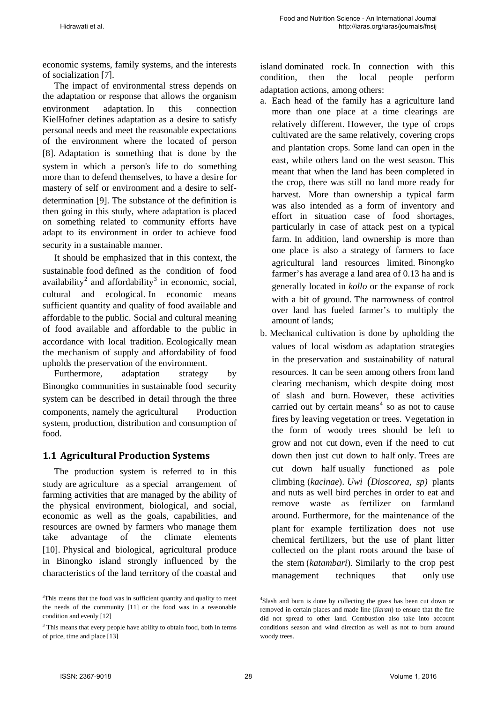economic systems, family systems, and the interests of socialization [7].

The impact of environmental stress depends on the adaptation or response that allows the organism environment adaptation. In this connection KielHofner defines adaptation as a desire to satisfy personal needs and meet the reasonable expectations of the environment where the located of person [8]. Adaptation is something that is done by the system in which a person's life to do something more than to defend themselves, to have a desire for mastery of self or environment and a desire to selfdetermination [9]. The substance of the definition is then going in this study, where adaptation is placed on something related to community efforts have adapt to its environment in order to achieve food security in a sustainable manner.

It should be emphasized that in this context, the sustainable food defined as the condition of food availability<sup>[2](#page-1-0)</sup> and affordability<sup>[3](#page-2-0)</sup> in economic, social, cultural and ecological. In economic means sufficient quantity and quality of food available and affordable to the public. Social and cultural meaning of food available and affordable to the public in accordance with local tradition. Ecologically mean the mechanism of supply and affordability of food upholds the preservation of the environment.

Furthermore, adaptation strategy by Binongko communities in sustainable food security system can be described in detail through the three components, namely the agricultural Production system, production, distribution and consumption of food.

#### **1.1 Agricultural Production Systems**

<span id="page-2-2"></span>The production system is referred to in this study are agriculture as a special arrangement of farming activities that are managed by the ability of the physical environment, biological, and social, economic as well as the goals, capabilities, and resources are owned by farmers who manage them take advantage of the climate elements [10]. Physical and biological, agricultural produce in Binongko island strongly influenced by the characteristics of the land territory of the coastal and

island dominated rock. In connection with this condition, then the local people perform adaptation actions, among others:

- a. Each head of the family has a agriculture land more than one place at a time clearings are relatively different. However, the type of crops cultivated are the same relatively, covering crops and plantation crops. Some land can open in the east, while others land on the west season. This meant that when the land has been completed in the crop, there was still no land more ready for harvest. More than ownership a typical farm was also intended as a form of inventory and effort in situation case of food shortages, particularly in case of attack pest on a typical farm. In addition, land ownership is more than one place is also a strategy of farmers to face agricultural land resources limited. Binongko farmer's has average a land area of 0.13 ha and is generally located in *kollo* or the expanse of rock with a bit of ground. The narrowness of control over land has fueled farmer's to multiply the amount of lands;
- b. Mechanical cultivation is done by upholding the values of local wisdom as adaptation strategies in the preservation and sustainability of natural resources. It can be seen among others from land clearing mechanism, which despite doing most of slash and burn. However, these activities carried out by certain means $4$  so as not to cause fires by leaving vegetation or trees. Vegetation in the form of woody trees should be left to grow and not cut down, even if the need to cut down then just cut down to half only. Trees are cut down half usually functioned as pole climbing (*kacinae*). *Uwi (Dioscorea, sp)* plants and nuts as well bird perches in order to eat and remove waste as fertilizer on farmland around. Furthermore, for the maintenance of the plant for example fertilization does not use chemical fertilizers, but the use of plant litter collected on the plant roots around the base of the stem (*katambari*). Similarly to the crop pest management techniques that only use

<span id="page-2-1"></span><sup>&</sup>lt;sup>2</sup>This means that the food was in sufficient quantity and quality to meet the needs of the community [11] or the food was in a reasonable condition and evenly [12]

<span id="page-2-0"></span><sup>&</sup>lt;sup>3</sup> This means that every people have ability to obtain food, both in terms of price, time and place [13]

<sup>4</sup> Slash and burn is done by collecting the grass has been cut down or removed in certain places and made line (*ilaran*) to ensure that the fire did not spread to other land. Combustion also take into account conditions season and wind direction as well as not to burn around woody trees.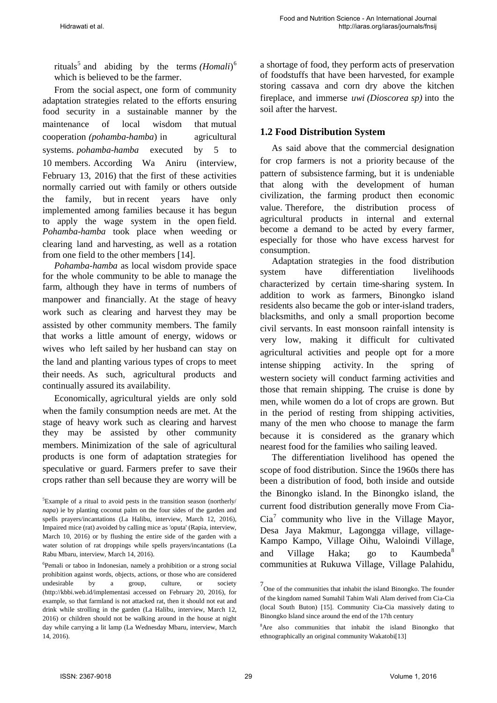rituals<sup>[5](#page-2-2)</sup> and abiding by the terms *(Homali)*<sup>[6](#page-3-0)</sup> which is believed to be the farmer.

From the social aspect, one form of community adaptation strategies related to the efforts ensuring food security in a sustainable manner by the maintenance of local wisdom that mutual cooperation *(pohamba*-*hamba*) in agricultural systems. *pohamba*-*hamba* executed by 5 to 10 members. According Wa Aniru (interview, February 13, 2016) that the first of these activities normally carried out with family or others outside the family, but in recent years have only implemented among families because it has begun to apply the wage system in the open field. *Pohamba*-*hamba* took place when weeding or clearing land and harvesting, as well as a rotation from one field to the other members [14].

*Pohamba-hamba* as local wisdom provide space for the whole community to be able to manage the farm, although they have in terms of numbers of manpower and financially. At the stage of heavy work such as clearing and harvest they may be assisted by other community members. The family that works a little amount of energy, widows or wives who left sailed by her husband can stay on the land and planting various types of crops to meet their needs. As such, agricultural products and continually assured its availability.

Economically, agricultural yields are only sold when the family consumption needs are met. At the stage of heavy work such as clearing and harvest they may be assisted by other community members. Minimization of the sale of agricultural products is one form of adaptation strategies for speculative or guard. Farmers prefer to save their crops rather than sell because they are worry will be a shortage of food, they perform acts of preservation of foodstuffs that have been harvested, for example storing cassava and corn dry above the kitchen fireplace, and immerse *uwi (Dioscorea sp)* into the soil after the harvest.

#### **1.2 Food Distribution System**

As said above that the commercial designation for crop farmers is not a priority because of the pattern of subsistence farming, but it is undeniable that along with the development of human civilization, the farming product then economic value. Therefore, the distribution process of agricultural products in internal and external become a demand to be acted by every farmer, especially for those who have excess harvest for consumption.

Adaptation strategies in the food distribution system have differentiation livelihoods characterized by certain time-sharing system. In addition to work as farmers, Binongko island residents also became the gob or inter-island traders, blacksmiths, and only a small proportion become civil servants. In east monsoon rainfall intensity is very low, making it difficult for cultivated agricultural activities and people opt for a more intense shipping activity. In the spring of western society will conduct farming activities and those that remain shipping. The cruise is done by men, while women do a lot of crops are grown. But in the period of resting from shipping activities, many of the men who choose to manage the farm because it is considered as the granary which nearest food for the families who sailing leaved.

The differentiation livelihood has opened the scope of food distribution. Since the 1960s there has been a distribution of food, both inside and outside the Binongko island. In the Binongko island, the current food distribution generally move From Cia- $Cia<sup>7</sup>$  $Cia<sup>7</sup>$  $Cia<sup>7</sup>$  community who live in the Village Mayor, Desa Jaya Makmur, Lagongga village, village-Kampo Kampo, Village Oihu, Waloindi Village, and Village Haka; go to Kaumbeda<sup>[8](#page-3-2)</sup> communities at Rukuwa Village, Village Palahidu,

<sup>5</sup> Example of a ritual to avoid pests in the transition season (northerly/ *napa*) ie by planting coconut palm on the four sides of the garden and spells prayers/incantations (La Halibu, interview, March 12, 2016), Impaired mice (rat) avoided by calling mice as 'oputa' (Rapia, interview, March 10, 2016) or by flushing the entire side of the garden with a water solution of rat droppings while spells prayers/incantations (La Rabu Mbaru, interview, March 14, 2016).

<span id="page-3-3"></span><span id="page-3-2"></span><span id="page-3-1"></span><span id="page-3-0"></span><sup>6</sup> Pemali or taboo in Indonesian, namely a prohibition or a strong social prohibition against words, objects, actions, or those who are considered undesirable by a group, culture, or society (http://kbbi.web.id/implementasi accessed on February 20, 2016), for example, so that farmland is not attacked rat, then it should not eat and drink while strolling in the garden (La Halibu, interview, March 12, 2016) or children should not be walking around in the house at night day while carrying a lit lamp (La Wednesday Mbaru, interview, March 14, 2016).

<sup>7</sup> One of the communities that inhabit the island Binongko. The founder of the kingdom named Sumahil Tahim Wali Alam derived from Cia-Cia (local South Buton) [15]. Community Cia-Cia massively dating to Binongko Island since around the end of the 17th century

<sup>8</sup> Are also communities that inhabit the island Binongko that ethnographically an original community Wakatobi[13]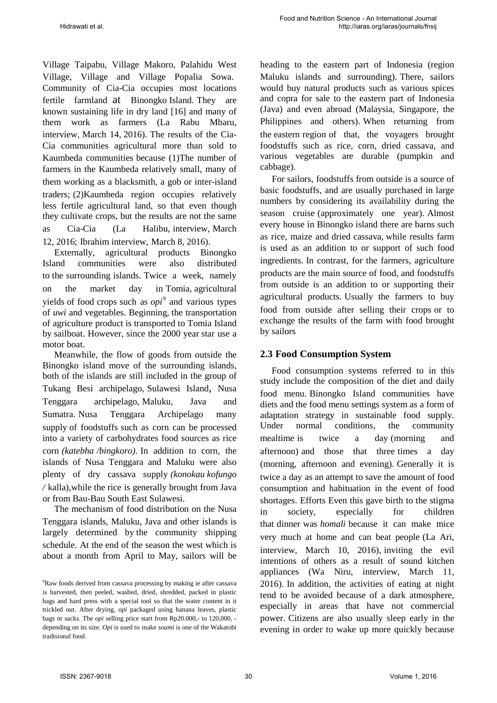Village Taipabu, Village Makoro, Palahidu West Village, Village and Village Popalia Sowa. Community of Cia-Cia occupies most locations fertile farmland at Binongko Island. They are known sustaining life in dry land [16] and many of them work as farmers (La Rabu Mbaru, interview, March 14, 2016). The results of the Cia-Cia communities agricultural more than sold to Kaumbeda communities because (1)The number of farmers in the Kaumbeda relatively small, many of them working as a blacksmith, a gob or inter-island traders; (2)Kaumbeda region occupies relatively less fertile agricultural land, so that even though they cultivate crops, but the results are not the same as Cia-Cia (La Halibu, interview, March 12, 2016; Ibrahim interview, March 8, 2016).

Externally, agricultural products Binongko Island communities were also distributed to the surrounding islands. Twice a week, namely on the market day in Tomia, agricultural yields of food crops such as *opi[9](#page-3-3)* and various types of *uwi* and vegetables. Beginning, the transportation of agriculture product is transported to Tomia Island by sailboat. However, since the 2000 year star use a motor boat.

Meanwhile, the flow of goods from outside the Binongko island move of the surrounding islands, both of the islands are still included in the group of Tukang Besi archipelago, Sulawesi Island, Nusa Tenggara archipelago, Maluku, Java and Sumatra. Nusa Tenggara Archipelago many supply of foodstuffs such as corn can be processed into a variety of carbohydrates food sources as rice corn *(katebha /bingkoro).* In addition to corn, the islands of Nusa Tenggara and Maluku were also plenty of dry cassava supply *(konokau kofungo /* kalla),while the rice is generally brought from Java or from Bau-Bau South East Sulawesi.

The mechanism of food distribution on the Nusa Tenggara islands, Maluku, Java and other islands is largely determined by the community shipping schedule. At the end of the season the west which is about a month from April to May, sailors will be heading to the eastern part of Indonesia (region Maluku islands and surrounding). There, sailors would buy natural products such as various spices and copra for sale to the eastern part of Indonesia (Java) and even abroad (Malaysia, Singapore, the Philippines and others). When returning from the eastern region of that, the voyagers brought foodstuffs such as rice, corn, dried cassava, and various vegetables are durable (pumpkin and cabbage).

For sailors, foodstuffs from outside is a source of basic foodstuffs, and are usually purchased in large numbers by considering its availability during the season cruise (approximately one year). Almost every house in Binongko island there are barns such as rice, maize and dried cassava, while results farm is used as an addition to or support of such food ingredients. In contrast, for the farmers, agriculture products are the main source of food, and foodstuffs from outside is an addition to or supporting their agricultural products. Usually the farmers to buy food from outside after selling their crops or to exchange the results of the farm with food brought by sailors

#### **2.3 Food Consumption System**

Food consumption systems referred to in this study include the composition of the diet and daily food menu. Binongko Island communities have diets and the food menu settings system as a form of adaptation strategy in sustainable food supply. Under normal conditions, the community mealtime is twice a day (morning and afternoon) and those that three times a day (morning, afternoon and evening). Generally it is twice a day as an attempt to save the amount of food consumption and habituation in the event of food shortages. Efforts Even this gave birth to the stigma in society, especially for children that dinner was *homali* because it can make mice very much at home and can beat people (La Ari, interview, March 10, 2016), inviting the evil intentions of others as a result of sound kitchen appliances (Wa Niru, interview, March 11, 2016). In addition, the activities of eating at night tend to be avoided because of a dark atmosphere, especially in areas that have not commercial power. Citizens are also usually sleep early in the evening in order to wake up more quickly because

<span id="page-4-0"></span><sup>9</sup> Raw foods derived from cassava processing by making ie after cassava is harvested, then peeled, washed, dried, shredded, packed in plastic bags and hard press with a special tool so that the water content in it trickled out. After drying, *opi* packaged using banana leaves, plastic bags or sacks. The *opi* selling price start from Rp20.000,- to 120,000, depending on its size. *Opi* is used to make *soami* is one of the Wakatobi tradisional food.